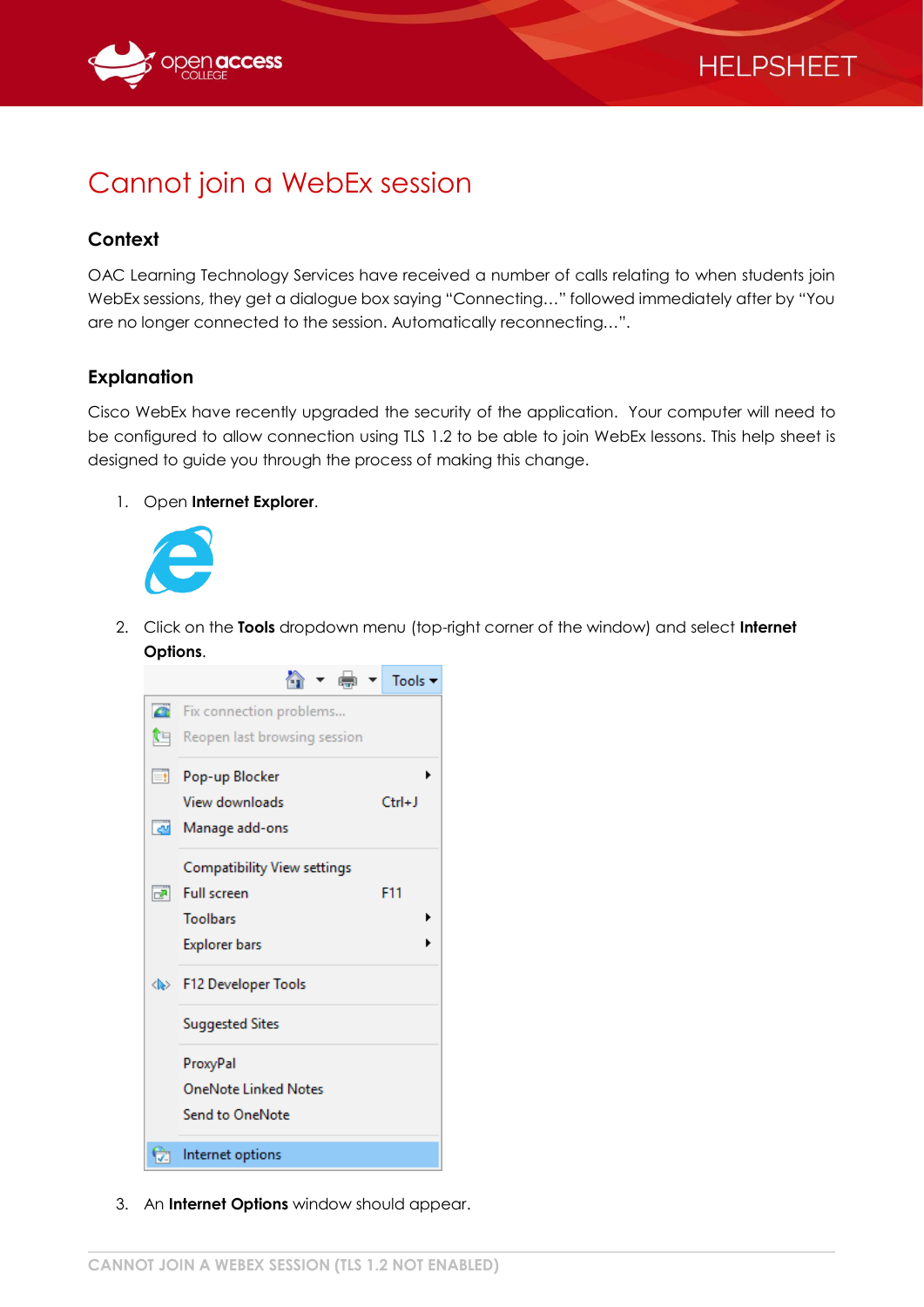



## Cannot join a WebEx session

## **Context**

OAC Learning Technology Services have received a number of calls relating to when students join WebEx sessions, they get a dialogue box saying "Connecting…" followed immediately after by "You are no longer connected to the session. Automatically reconnecting…".

## **Explanation**

Cisco WebEx have recently upgraded the security of the application. Your computer will need to be configured to allow connection using TLS 1.2 to be able to join WebEx lessons. This help sheet is designed to guide you through the process of making this change.

1. Open **Internet Explorer**.



2. Click on the **Tools** dropdown menu (top-right corner of the window) and select **Internet Options**.



3. An **Internet Options** window should appear.